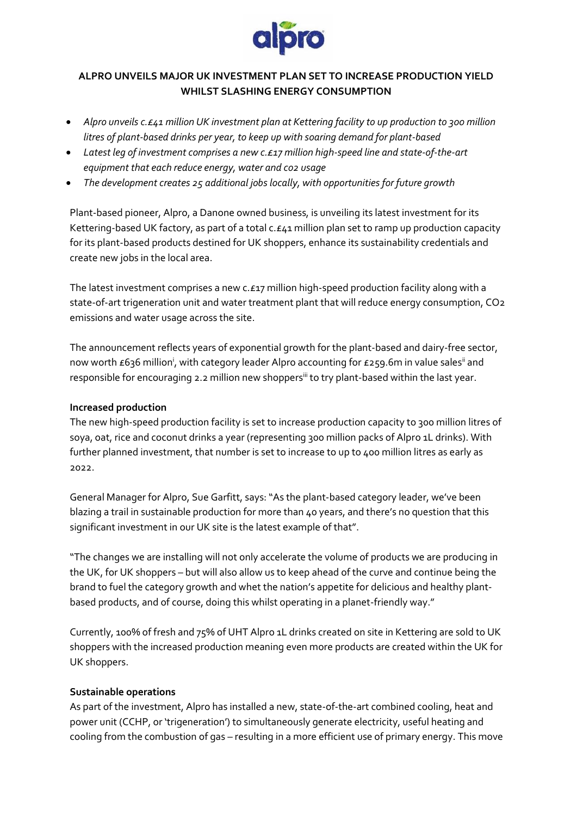

# **ALPRO UNVEILS MAJOR UK INVESTMENT PLAN SET TO INCREASE PRODUCTION YIELD WHILST SLASHING ENERGY CONSUMPTION**

- *Alpro unveils c.£41 million UK investment plan at Kettering facility to up production to 300 million litres of plant-based drinks per year, to keep up with soaring demand for plant-based*
- *Latest leg of investment comprises a new c.£17 million high-speed line and state-of-the-art equipment that each reduce energy, water and co2 usage*
- *The development creates 25 additional jobs locally, with opportunities for future growth*

Plant-based pioneer, Alpro, a Danone owned business, is unveiling its latest investment for its Kettering-based UK factory, as part of a total c. £41 million plan set to ramp up production capacity for its plant-based products destined for UK shoppers, enhance its sustainability credentials and create new jobs in the local area.

The latest investment comprises a new c.£17 million high-speed production facility along with a state-of-art trigeneration unit and water treatment plant that will reduce energy consumption, CO2 emissions and water usage across the site.

The announcement reflects years of exponential growth for the plant-based and dairy-free sector, now worth £636 million<sup>i</sup>, with category leader Alpro accounting for £259.6m in value sales<sup>ii</sup> and responsible for encouraging 2.2 million new shoppers<sup>iii</sup> to try plant-based within the last year.

### **Increased production**

The new high-speed production facility is set to increase production capacity to 300 million litres of soya, oat, rice and coconut drinks a year (representing 300 million packs of Alpro 1L drinks). With further planned investment, that number is set to increase to up to 400 million litres as early as 2022.

General Manager for Alpro, Sue Garfitt, says: "As the plant-based category leader, we've been blazing a trail in sustainable production for more than 40 years, and there's no question that this significant investment in our UK site is the latest example of that".

"The changes we are installing will not only accelerate the volume of products we are producing in the UK, for UK shoppers – but will also allow us to keep ahead of the curve and continue being the brand to fuel the category growth and whet the nation's appetite for delicious and healthy plantbased products, and of course, doing this whilst operating in a planet-friendly way."

Currently, 100% of fresh and 75% of UHT Alpro 1L drinks created on site in Kettering are sold to UK shoppers with the increased production meaning even more products are created within the UK for UK shoppers.

### **Sustainable operations**

As part of the investment, Alpro has installed a new, state-of-the-art combined cooling, heat and power unit (CCHP, or 'trigeneration') to simultaneously generate electricity, useful heating and cooling from the combustion of gas – resulting in a more efficient use of primary energy. This move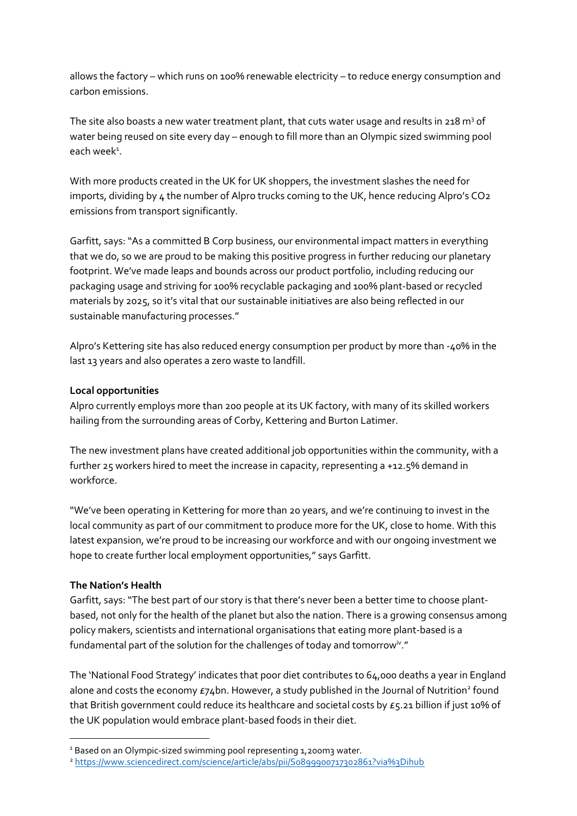allows the factory – which runs on 100% renewable electricity – to reduce energy consumption and carbon emissions.

The site also boasts a new water treatment plant, that cuts water usage and results in 218 m<sup>3</sup> of water being reused on site every day – enough to fill more than an Olympic sized swimming pool each week<sup>1</sup>.

With more products created in the UK for UK shoppers, the investment slashes the need for imports, dividing by 4 the number of Alpro trucks coming to the UK, hence reducing Alpro's CO2 emissions from transport significantly.

Garfitt, says: "As a committed B Corp business, our environmental impact matters in everything that we do, so we are proud to be making this positive progress in further reducing our planetary footprint. We've made leaps and bounds across our product portfolio, including reducing our packaging usage and striving for 100% recyclable packaging and 100% plant-based or recycled materials by 2025, so it's vital that our sustainable initiatives are also being reflected in our sustainable manufacturing processes."

Alpro's Kettering site has also reduced energy consumption per product by more than -40% in the last 13 years and also operates a zero waste to landfill.

# **Local opportunities**

Alpro currently employs more than 200 people at its UK factory, with many of its skilled workers hailing from the surrounding areas of Corby, Kettering and Burton Latimer.

The new investment plans have created additional job opportunities within the community, with a further 25 workers hired to meet the increase in capacity, representing a +12.5% demand in workforce.

"We've been operating in Kettering for more than 20 years, and we're continuing to invest in the local community as part of our commitment to produce more for the UK, close to home. With this latest expansion, we're proud to be increasing our workforce and with our ongoing investment we hope to create further local employment opportunities," says Garfitt.

# **The Nation's Health**

Garfitt, says: "The best part of our story is that there's never been a better time to choose plantbased, not only for the health of the planet but also the nation. There is a growing consensus among policy makers, scientists and international organisations that eating more plant-based is a fundamental part of the solution for the challenges of today and tomorrow $^{\mathsf{iv}}.$  "

The 'National Food Strategy' indicates that poor diet contributes to 64,000 deaths a year in England alone and costs the economy £74bn. However, a study published in the Journal of Nutrition<sup>2</sup> found that British government could reduce its healthcare and societal costs by £5.21 billion if just 10% of the UK population would embrace plant-based foods in their diet.

<sup>&</sup>lt;sup>1</sup> Based on an Olympic-sized swimming pool representing 1,200m3 water.

<sup>2</sup> <https://www.sciencedirect.com/science/article/abs/pii/S0899900717302861?via%3Dihub>